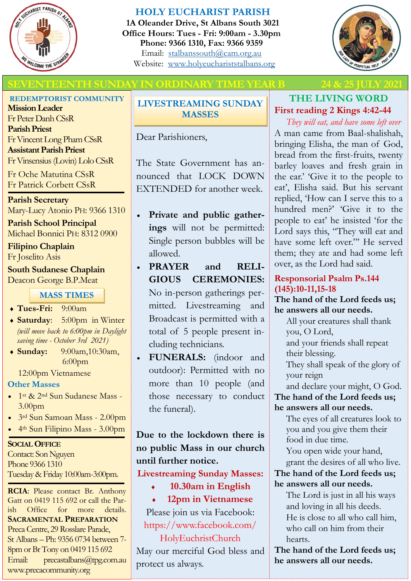

#### **HOLY EUCHARIST PARISH**

**1A Oleander Drive, St Albans South 3021 Office Hours: Tues - Fri: 9:00am - 3.30pm Phone: 9366 1310, Fax: 9366 9359** Email: [stalbanssouth@cam.org.au](mailto:stalbanssouth@cam.org.au) Website:[www.holyeuchariststalbans.org](http://www.holyeuchariststalbans.org)



# **STEENTH SUNDAY IN ORDINARY TIME YEAR B**

#### **REDEMPTORIST COMMUNITY**

**Mission Leader** Fr Peter Danh CSsR **Parish Priest** Fr Vincent Long Pham CSsR **Assistant Parish Priest**  Fr Vinsensius (Lovin) Lolo CSsR

Fr Oche Matutina CSsR Fr Patrick Corbett CSsR

## **Parish Secretary** Mary-Lucy Atonio PH: 9366 1310

**Parish School Principal** Michael Bonnici PH: 8312 0900

**Filipino Chaplain** Fr Joselito Asis

**South Sudanese Chaplain** Deacon George B.P.Meat

## **MASS TIMES**

- **Tues-Fri:** 9:00am
- **Saturday**: 5:00pm in Winter *(will move back to 6:00pm in Daylight saving time - October 3rd 2021)*
- **Sunday:** 9:00am,10:30am, 6:00pm

12:00pm Vietnamese

#### **Other Masses**

- 1<sup>st</sup> & 2<sup>nd</sup> Sun Sudanese Mass -3.00pm
- 3rd Sun Samoan Mass 2.00pm
- 4th Sun Filipino Mass 3.00pm

#### **SOCIAL OFFICE**

Contact: Son Nguyen Phone 9366 1310 Tuesday & Friday 10:00am-3:00pm.

**RCIA**: Please contact Br. Anthony Gatt on 0419 115 692 or call the Parish Office for more details. **SACRAMENTAL PREPARATION** Preca Centre, 29 Rosslare Parade, St Albans – Ph: 9356 0734 between 7- 8pm or Br Tony on 0419 115 692 Email: precastalbans@tpg.com.au www.precacommunity.org

## **LIVESTREAMING SUNDAY MASSES**

Dear Parishioners,

The State Government has announced that LOCK DOWN EXTENDED for another week.

- **Private and public gatherings** will not be permitted: Single person bubbles will be allowed.
- **PRAYER and RELI-GIOUS CEREMONIES:**  No in-person gatherings permitted. Livestreaming and Broadcast is permitted with a total of 5 people present including technicians.
- **FUNERALS:** (indoor and outdoor): Permitted with no more than 10 people (and those necessary to conduct the funeral).

**Due to the lockdown there is no public Mass in our church until further notice.**

## **Livestreaming Sunday Masses:**

**10.30am in English**

**12pm in Vietnamese**

Please join us via Facebook: https://www.facebook.com/ HolyEuchristChurch

May our merciful God bless and protect us always.

# **THE LIVING WORD First reading 2 Kings 4:42-44**

*They will eat, and have some left over* A man came from Baal-shalishah, bringing Elisha, the man of God, bread from the first-fruits, twenty barley loaves and fresh grain in the ear.' 'Give it to the people to eat', Elisha said. But his servant replied, 'How can I serve this to a hundred men?' 'Give it to the people to eat' he insisted 'for the Lord says this, "They will eat and have some left over."' He served them; they ate and had some left over, as the Lord had said.

## **Responsorial Psalm Ps.144 (145):10-11,15-18**

**The hand of the Lord feeds us; he answers all our needs.**

All your creatures shall thank you, O Lord,

and your friends shall repeat their blessing.

They shall speak of the glory of your reign

and declare your might, O God. **The hand of the Lord feeds us; he answers all our needs.**

The eyes of all creatures look to you and you give them their food in due time.

You open wide your hand,

grant the desires of all who live.

#### **The hand of the Lord feeds us; he answers all our needs.**

The Lord is just in all his ways and loving in all his deeds. He is close to all who call him, who call on him from their hearts.

**The hand of the Lord feeds us; he answers all our needs.**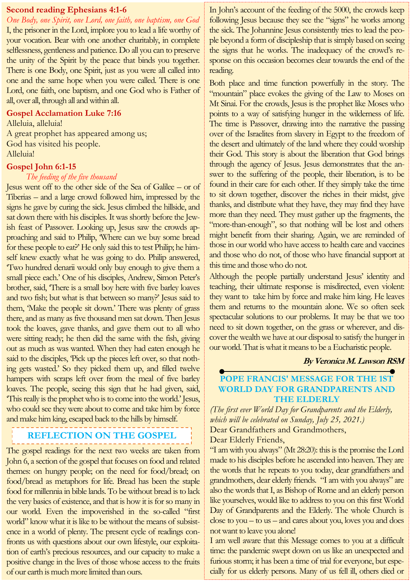#### **Second reading Ephesians 4:1-6**

*One Body, one Spirit, one Lord, one faith, one baptism, one God* I, the prisoner in the Lord, implore you to lead a life worthy of your vocation. Bear with one another charitably, in complete selflessness, gentleness and patience. Do all you can to preserve the unity of the Spirit by the peace that binds you together. There is one Body, one Spirit, just as you were all called into one and the same hope when you were called. There is one Lord, one faith, one baptism, and one God who is Father of all, over all, through all and within all.

#### **Gospel Acclamation Luke 7:16**

Alleluia, alleluia! A great prophet has appeared among us; God has visited his people. Alleluia!

#### **Gospel John 6:1-15**

#### *The feeding of the five thousand*

Jesus went off to the other side of the Sea of Galilee – or of Tiberias – and a large crowd followed him, impressed by the signs he gave by curing the sick. Jesus climbed the hillside, and sat down there with his disciples. It was shortly before the Jewish feast of Passover. Looking up, Jesus saw the crowds approaching and said to Philip, 'Where can we buy some bread for these people to eat?' He only said this to test Philip; he himself knew exactly what he was going to do. Philip answered, 'Two hundred denarii would only buy enough to give them a small piece each.' One of his disciples, Andrew, Simon Peter's brother, said, 'There is a small boy here with five barley loaves and two fish; but what is that between so many?' Jesus said to them, 'Make the people sit down.' There was plenty of grass there, and as many as five thousand men sat down. Then Jesus took the loaves, gave thanks, and gave them out to all who were sitting ready; he then did the same with the fish, giving out as much as was wanted. When they had eaten enough he said to the disciples, 'Pick up the pieces left over, so that nothing gets wasted.' So they picked them up, and filled twelve hampers with scraps left over from the meal of five barley loaves. The people, seeing this sign that he had given, said, 'This really is the prophet who is to come into the world.' Jesus, who could see they were about to come and take him by force and make him king, escaped back to the hills by himself.

#### **REFLECTION ON THE GOSPEL**

The gospel readings for the next two weeks are taken from John 6, a section of the gospel that focuses on food and related themes: on hungry people; on the need for food/bread; on food/bread as metaphors for life. Bread has been the staple food for millennia in bible lands. To be without bread is to lack the very basics of existence, and that is how it is for so many in our world. Even the impoverished in the so-called "first world" know what it is like to be without the means of subsistence in a world of plenty. The present cycle of readings confronts us with questions about our own lifestyle, our exploitation of earth's precious resources, and our capacity to make a positive change in the lives of those whose access to the fruits of our earth is much more limited than ours.

In John's account of the feeding of the 5000, the crowds keep following Jesus because they see the "signs" he works among the sick. The Johannine Jesus consistently tries to lead the people beyond a form of discipleship that is simply based on seeing the signs that he works. The inadequacy of the crowd's response on this occasion becomes clear towards the end of the reading.

Both place and time function powerfully in the story. The "mountain" place evokes the giving of the Law to Moses on Mt Sinai. For the crowds, Jesus is the prophet like Moses who points to a way of satisfying hunger in the wilderness of life. The time is Passover, drawing into the narrative the passing over of the Israelites from slavery in Egypt to the freedom of the desert and ultimately of the land where they could worship their God. This story is about the liberation that God brings through the agency of Jesus. Jesus demonstrates that the answer to the suffering of the people, their liberation, is to be found in their care for each other. If they simply take the time to sit down together, discover the riches in their midst, give thanks, and distribute what they have, they may find they have more than they need. They must gather up the fragments, the "more-than-enough", so that nothing will be lost and others might benefit from their sharing. Again, we are reminded of those in our world who have access to health care and vaccines and those who do not, of those who have financial support at this time and those who do not.

Although the people partially understand Jesus' identity and teaching, their ultimate response is misdirected, even violent: they want to take him by force and make him king. He leaves them and returns to the mountain alone. We so often seek spectacular solutions to our problems. It may be that we too need to sit down together, on the grass or wherever, and discover the wealth we have at our disposal to satisfy the hunger in our world. That is what it means to be a Eucharistic people.

#### **By Veronica M. Lawson RSM**

#### **POPE FRANCIS' MESSAGE FOR THE 1ST WORLD DAY FOR GRANDPARENTS AND THE ELDERLY**

*(The first ever World Day for Grandparents and the Elderly, which will be celebrated on Sunday, July 25, 2021.)* Dear Grandfathers and Grandmothers, Dear Elderly Friends,

"I am with you always" (Mt 28:20): this is the promise the Lord made to his disciples before he ascended into heaven. They are the words that he repeats to you today, dear grandfathers and grandmothers, dear elderly friends. "I am with you always" are also the words that I, as Bishop of Rome and an elderly person like yourselves, would like to address to you on this first World Day of Grandparents and the Elderly. The whole Church is close to you – to us – and cares about you, loves you and does not want to leave you alone!

I am well aware that this Message comes to you at a difficult time: the pandemic swept down on us like an unexpected and furious storm; it has been a time of trial for everyone, but especially for us elderly persons. Many of us fell ill, others died or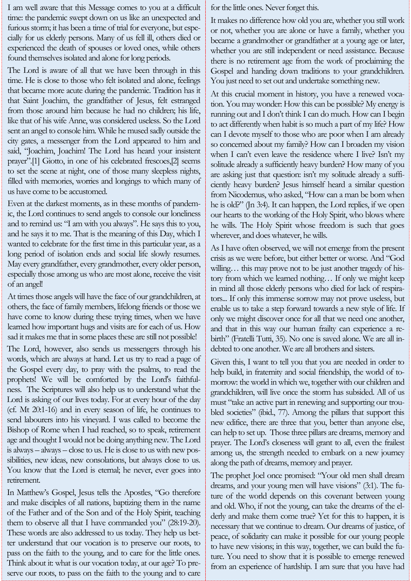I am well aware that this Message comes to you at a difficult time: the pandemic swept down on us like an unexpected and furious storm; it has been a time of trial for everyone, but especially for us elderly persons. Many of us fell ill, others died or experienced the death of spouses or loved ones, while others found themselves isolated and alone for long periods.

The Lord is aware of all that we have been through in this time. He is close to those who felt isolated and alone, feelings that became more acute during the pandemic. Tradition has it that Saint Joachim, the grandfather of Jesus, felt estranged from those around him because he had no children; his life, like that of his wife Anne, was considered useless. So the Lord sent an angel to console him. While he mused sadly outside the city gates, a messenger from the Lord appeared to him and said, "Joachim, Joachim! The Lord has heard your insistent prayer".[1] Giotto, in one of his celebrated frescoes,[2] seems to set the scene at night, one of those many sleepless nights, filled with memories, worries and longings to which many of us have come to be accustomed.

Even at the darkest moments, as in these months of pandemic, the Lord continues to send angels to console our loneliness and to remind us: "I am with you always". He says this to you, and he says it to me. That is the meaning of this Day, which I wanted to celebrate for the first time in this particular year, as a long period of isolation ends and social life slowly resumes. May every grandfather, every grandmother, every older person, especially those among us who are most alone, receive the visit of an angel!

At times those angels will have the face of our grandchildren, at others, the face of family members, lifelong friends or those we have come to know during these trying times, when we have learned how important hugs and visits are for each of us. How sad it makes me that in some places these are still not possible!

The Lord, however, also sends us messengers through his words, which are always at hand. Let us try to read a page of the Gospel every day, to pray with the psalms, to read the prophets! We will be comforted by the Lord's faithfulness. The Scriptures will also help us to understand what the Lord is asking of our lives today. For at every hour of the day (cf. Mt 20:1-16) and in every season of life, he continues to send labourers into his vineyard. I was called to become the Bishop of Rome when I had reached, so to speak, retirement age and thought I would not be doing anything new. The Lord is always – always – close to us. He is close to us with new possibilities, new ideas, new consolations, but always close to us. You know that the Lord is eternal; he never, ever goes into retirement.

In Matthew's Gospel, Jesus tells the Apostles, "Go therefore and make disciples of all nations, baptizing them in the name of the Father and of the Son and of the Holy Spirit, teaching them to observe all that I have commanded you" (28:19-20). These words are also addressed to us today. They help us better understand that our vocation is to preserve our roots, to pass on the faith to the young, and to care for the little ones. Think about it: what is our vocation today, at our age? To preserve our roots, to pass on the faith to the young and to care for the little ones. Never forget this.

It makes no difference how old you are, whether you still work or not, whether you are alone or have a family, whether you became a grandmother or grandfather at a young age or later, whether you are still independent or need assistance. Because there is no retirement age from the work of proclaiming the Gospel and handing down traditions to your grandchildren. You just need to set out and undertake something new.

At this crucial moment in history, you have a renewed vocation. You may wonder: How this can be possible? My energy is running out and I don't think I can do much. How can I begin to act differently when habit is so much a part of my life? How can I devote myself to those who are poor when I am already so concerned about my family? How can I broaden my vision when I can't even leave the residence where I live? Isn't my solitude already a sufficiently heavy burden? How many of you are asking just that question: isn't my solitude already a sufficiently heavy burden? Jesus himself heard a similar question from Nicodemus, who asked, "How can a man be born when he is old?" (Jn 3:4). It can happen, the Lord replies, if we open our hearts to the working of the Holy Spirit, who blows where he wills. The Holy Spirit whose freedom is such that goes wherever, and does whatever, he wills.

As I have often observed, we will not emerge from the present crisis as we were before, but either better or worse. And "God willing... this may prove not to be just another tragedy of history from which we learned nothing… If only we might keep in mind all those elderly persons who died for lack of respirators... If only this immense sorrow may not prove useless, but enable us to take a step forward towards a new style of life. If only we might discover once for all that we need one another, and that in this way our human frailty can experience a rebirth" (Fratelli Tutti, 35). No one is saved alone. We are all indebted to one another. We are all brothers and sisters.

Given this, I want to tell you that you are needed in order to help build, in fraternity and social friendship, the world of tomorrow: the world in which we, together with our children and grandchildren, will live once the storm has subsided. All of us must "take an active part in renewing and supporting our troubled societies" (ibid., 77). Among the pillars that support this new edifice, there are three that you, better than anyone else, can help to set up. Those three pillars are dreams, memory and prayer. The Lord's closeness will grant to all, even the frailest among us, the strength needed to embark on a new journey along the path of dreams, memory and prayer.

The prophet Joel once promised: "Your old men shall dream dreams, and your young men will have visions" (3:1). The future of the world depends on this covenant between young and old. Who, if not the young, can take the dreams of the elderly and make them come true? Yet for this to happen, it is necessary that we continue to dream. Our dreams of justice, of peace, of solidarity can make it possible for our young people to have new visions; in this way, together, we can build the future. You need to show that it is possible to emerge renewed from an experience of hardship. I am sure that you have had